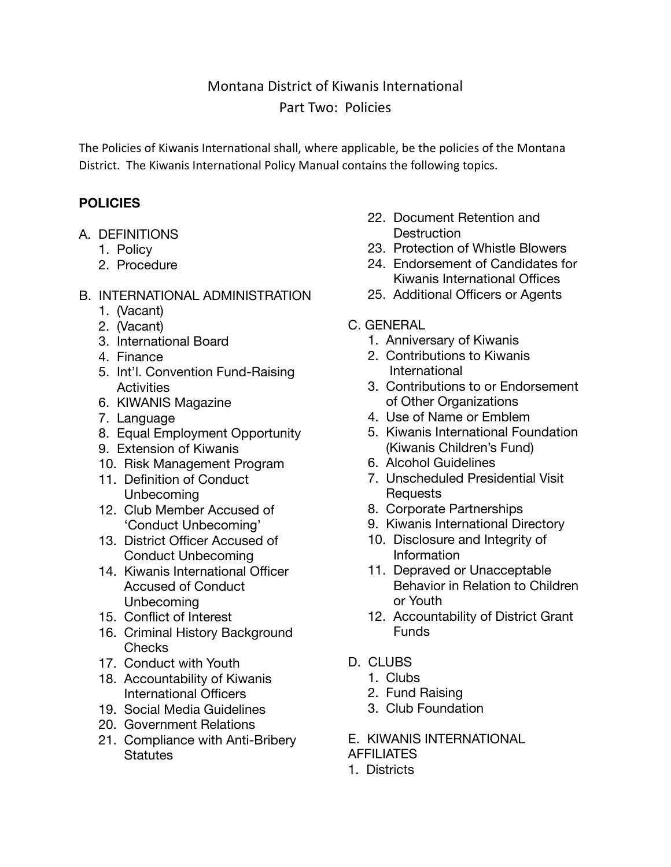# Montana District of Kiwanis International Part Two: Policies

The Policies of Kiwanis International shall, where applicable, be the policies of the Montana District. The Kiwanis International Policy Manual contains the following topics.

## **POLICIES**

- A. DEFINITIONS
	- 1. Policy
	- 2. Procedure
- B. INTERNATIONAL ADMINISTRATION
	- 1. (Vacant)
	- 2. (Vacant)
	- 3. International Board
	- 4. Finance
	- 5. Int'l. Convention Fund-Raising **Activities**
	- 6. KIWANIS Magazine
	- 7. Language
	- 8. Equal Employment Opportunity
	- 9. Extension of Kiwanis
	- 10. Risk Management Program
	- 11. Definition of Conduct Unbecoming
	- 12. Club Member Accused of 'Conduct Unbecoming'
	- 13. District Officer Accused of Conduct Unbecoming
	- 14. Kiwanis International Officer Accused of Conduct Unbecoming
	- 15. Conflict of Interest
	- 16. Criminal History Background Checks
	- 17. Conduct with Youth
	- 18. Accountability of Kiwanis International Officers
	- 19. Social Media Guidelines
	- 20. Government Relations
	- 21. Compliance with Anti-Bribery **Statutes**
- 22. Document Retention and **Destruction**
- 23. Protection of Whistle Blowers
- 24. Endorsement of Candidates for Kiwanis International Offices
- 25. Additional Officers or Agents
- C. GENERAL
	- 1. Anniversary of Kiwanis
	- 2. Contributions to Kiwanis International
	- 3. Contributions to or Endorsement of Other Organizations
	- 4. Use of Name or Emblem
	- 5. Kiwanis International Foundation (Kiwanis Children's Fund)
	- 6. Alcohol Guidelines
	- 7. Unscheduled Presidential Visit **Requests**
	- 8. Corporate Partnerships
	- 9. Kiwanis International Directory
	- 10. Disclosure and Integrity of Information
	- 11. Depraved or Unacceptable Behavior in Relation to Children or Youth
	- 12. Accountability of District Grant Funds
- D. CLUBS
	- 1. Clubs
	- 2. Fund Raising
	- 3. Club Foundation
- E. KIWANIS INTERNATIONAL

### **AFFILIATES**

1. Districts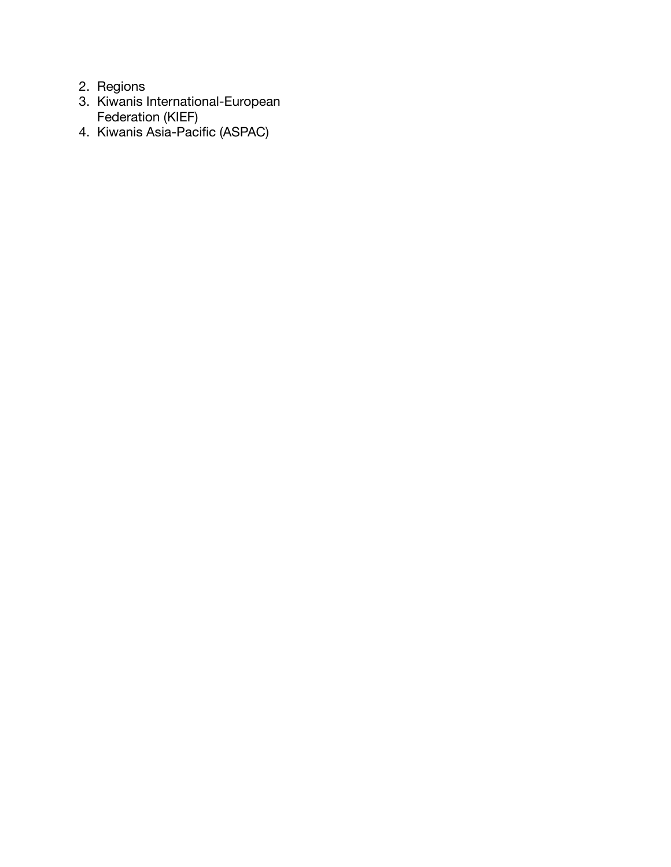- 2. Regions
- 3. Kiwanis International-European Federation (KIEF)
- 4. Kiwanis Asia-Pacific (ASPAC)